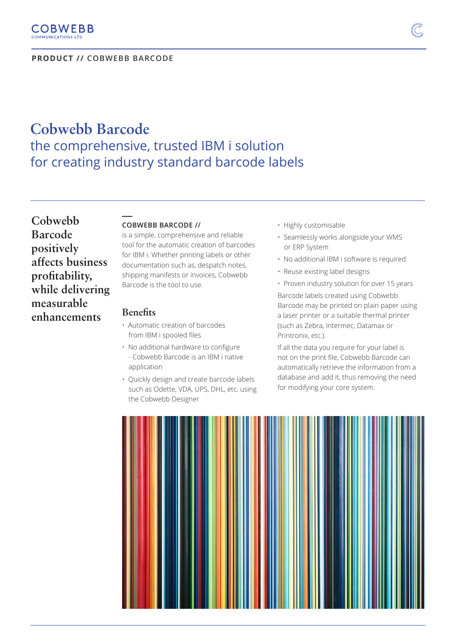**PRODUCT // COBWEBB BARCODE**

# **Cobwebb Barcode** the comprehensive, trusted IBM i solution for creating industry standard barcode labels

**Cobwebb Barcode positively affects business profitability, while delivering measurable enhancements**

## **COBWEBB BARCODE //**

is a simple, comprehensive and reliable tool for the automatic creation of barcodes for IBM i. Whether printing labels or other documentation such as, despatch notes, shipping manifests or invoices, Cobwebb Barcode is the tool to use.

### **Benefits**

**\_\_\_** 

- Automatic creation of barcodes from IBM i spooled files
- No additional hardware to configure - Cobwebb Barcode is an IBM i native application
- Quickly design and create barcode labels such as Odette, VDA, UPS, DHL, etc. using the Cobwebb Designer
- Highly customisable
- Seamlessly works alongside your WMS or ERP System
- No additional IBM i software is required
- Reuse existing label designs
- Proven industry solution for over 15 years Barcode labels created using Cobwebb Barcode may be printed on plain paper using a laser printer or a suitable thermal printer (such as Zebra, Intermec, Datamax or Printronix, etc.).

If all the data you require for your label is not on the print file, Cobwebb Barcode can automatically retrieve the information from a database and add it, thus removing the need for modifying your core system.